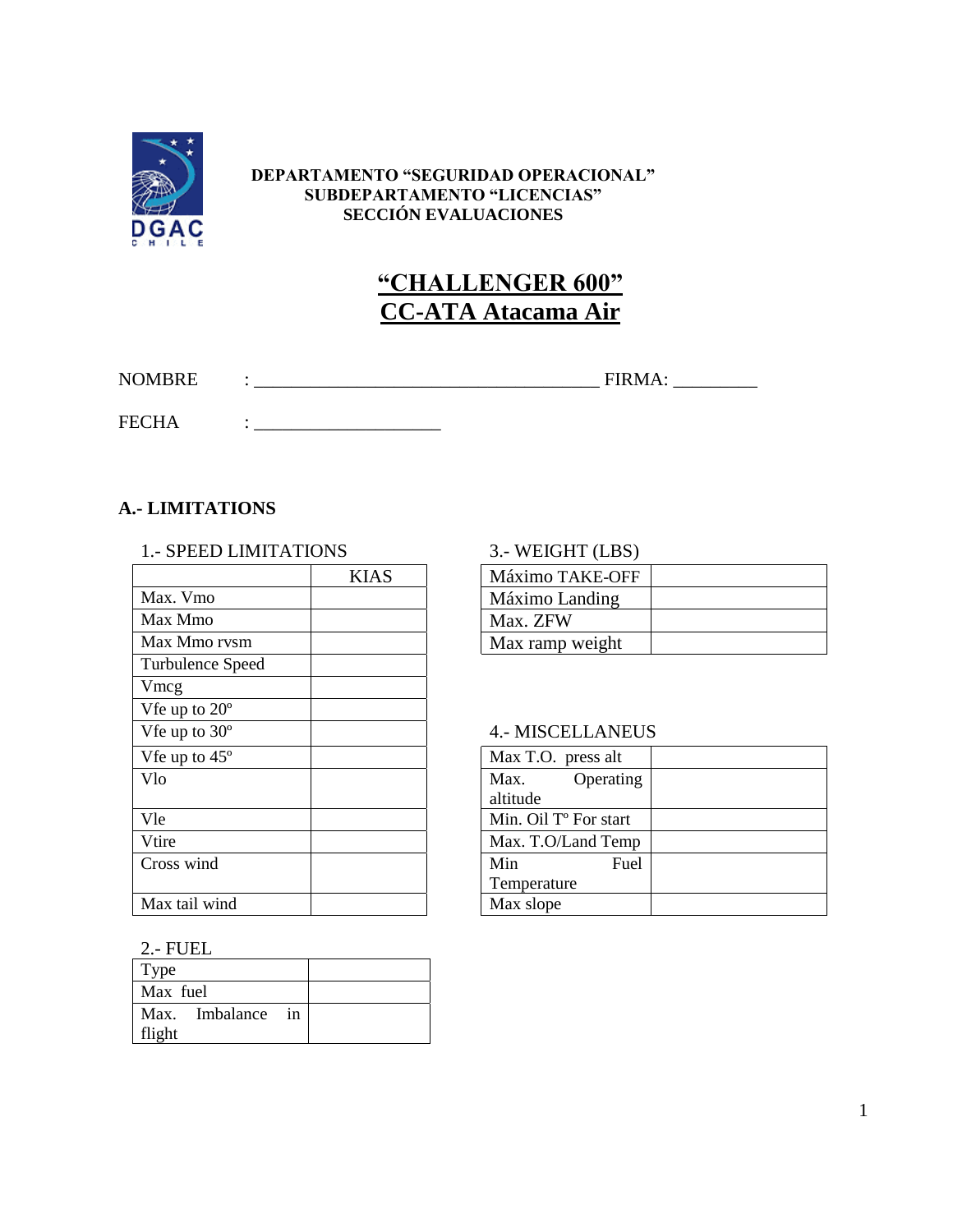

#### **DEPARTAMENTO "SEGURIDAD OPERACIONAL" SUBDEPARTAMENTO "LICENCIAS" SECCIÓN EVALUACIONES**

# **"CHALLENGER 600" CC-ATA Atacama Air**

NOMBRE : \_\_\_\_\_\_\_\_\_\_\_\_\_\_\_\_\_\_\_\_\_\_\_\_\_\_\_\_\_\_\_\_\_\_\_\_\_ FIRMA: \_\_\_\_\_\_\_\_\_

FECHA : \_\_\_\_\_\_\_\_\_\_\_\_\_\_\_\_\_\_\_\_

## **A.- LIMITATIONS**

#### 1.- SPEED LIMITATIONS 3.- WEIGHT (LBS)

|                        | <b>KIAS</b> | Máximo TAKE-OFF                   |
|------------------------|-------------|-----------------------------------|
| Max. Vmo               |             | Máximo Landing                    |
| Max Mmo                |             | Max. ZFW                          |
| Max Mmo rvsm           |             | Max ramp weight                   |
| Turbulence Speed       |             |                                   |
| Vmcg                   |             |                                   |
| Vfe up to $20^{\circ}$ |             |                                   |
| Vfe up to 30°          |             | <b>4.- MISCELLANEU</b>            |
| Vfe up to $45^\circ$   |             | Max T.O. press alt                |
| Vlo                    |             | Max.<br>Operating                 |
|                        |             | altitude                          |
| Vle                    |             | Min. Oil T <sup>o</sup> For start |
| Vtire                  |             | Max. T.O/Land Temp                |
| Cross wind             |             | Min<br>Fuel                       |
|                        |             | Temperature                       |
| Max tail wind          |             | Max slope                         |

| KIAS | Máximo TAKE-OFF |  |
|------|-----------------|--|
|      | Máximo Landing  |  |
|      | Max. ZFW        |  |
|      | Max ramp weight |  |

## 4.- MISCELLANEUS

| Max T.O. press alt                |  |
|-----------------------------------|--|
| Operating<br>Max.                 |  |
| altitude                          |  |
| Min. Oil T <sup>o</sup> For start |  |
| Max. T.O/Land Temp                |  |
| Min<br>Fuel                       |  |
| Temperature                       |  |
| Max slope                         |  |

#### 2.- FUEL

| Type              |  |
|-------------------|--|
| Max fuel          |  |
| Max. Imbalance in |  |
| flight            |  |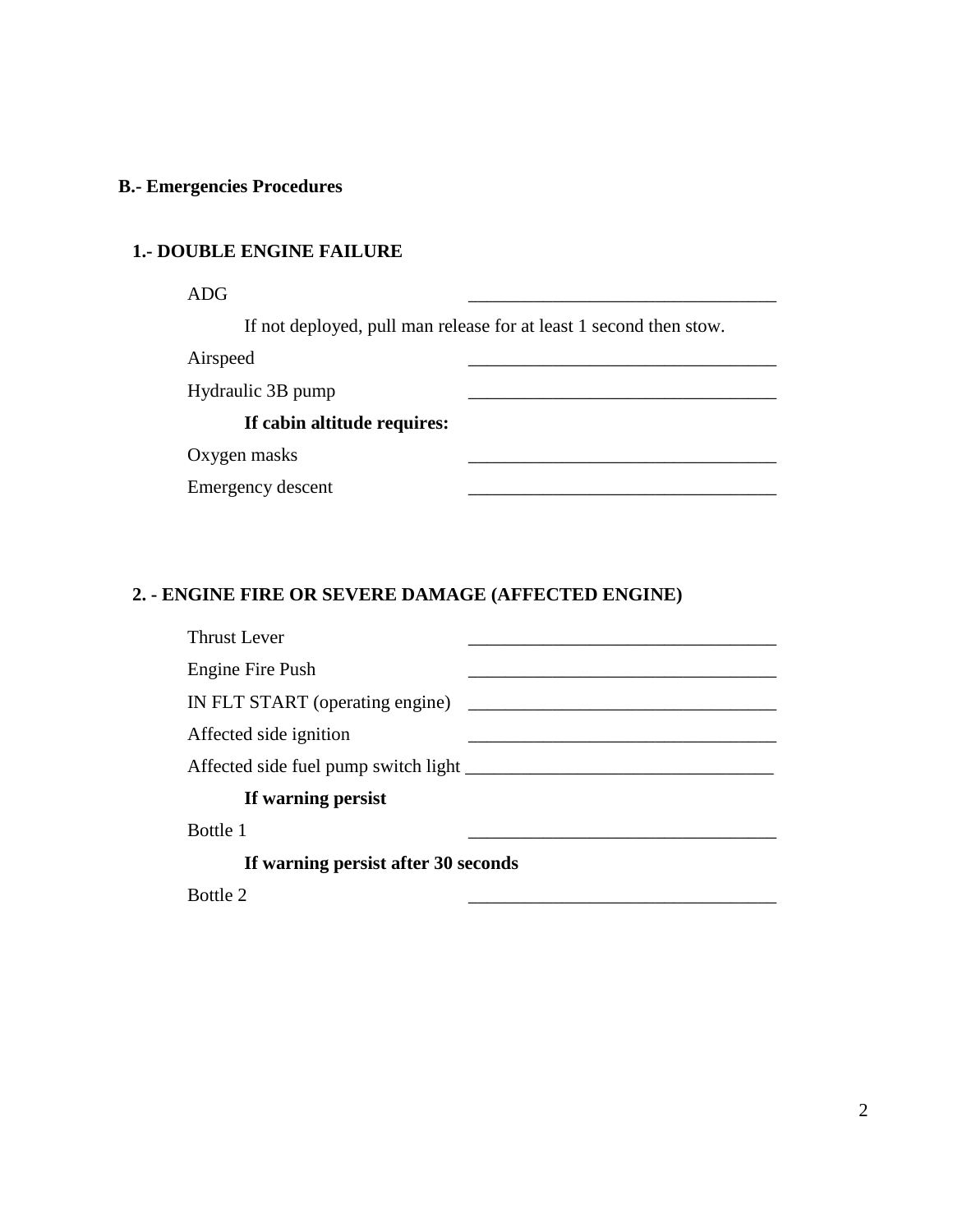## **B.- Emergencies Procedures**

## **1.- DOUBLE ENGINE FAILURE**

 $\Delta \text{DG}$  and  $\begin{array}{ccc} \text{2.13}\ \text{2.14}\ \text{2.15}\ \text{2.16}\ \text{2.17}\ \text{2.17}\ \text{2.17}\ \text{2.17}\ \text{2.17}\ \text{2.17}\ \text{2.17}\ \text{2.17}\ \text{2.17}\ \text{2.17}\ \text{2.17}\ \text{2.17}\ \text{2.17}\ \text{2.17}\ \text{2.17}\ \text{2.17}\ \text{2.17}\ \text{2.17}\ \text{2.17}\ \text{2.17}\ \text{2.17$ 

If not deployed, pull man release for at least 1 second then stow.

Airspeed **and a** strong and a strong and a strong strong and a strong strong strong strong strong strong strong strong strong strong strong strong strong strong strong strong strong strong strong strong strong strong stron

Hydraulic 3B pump \_\_\_\_\_\_\_\_\_\_\_\_\_\_\_\_\_\_\_\_\_\_\_\_\_\_\_\_\_\_\_\_\_

## **If cabin altitude requires:**

Oxygen masks

Emergency descent

## **2. - ENGINE FIRE OR SEVERE DAMAGE (AFFECTED ENGINE)**

| Thrust Lever                                 |  |
|----------------------------------------------|--|
| Engine Fire Push                             |  |
| IN FLT START (operating engine)              |  |
| Affected side ignition                       |  |
| Affected side fuel pump switch light _______ |  |
| If warning persist                           |  |
| Bottle 1                                     |  |
| If warning persist after 30 seconds          |  |
| Bottle 2                                     |  |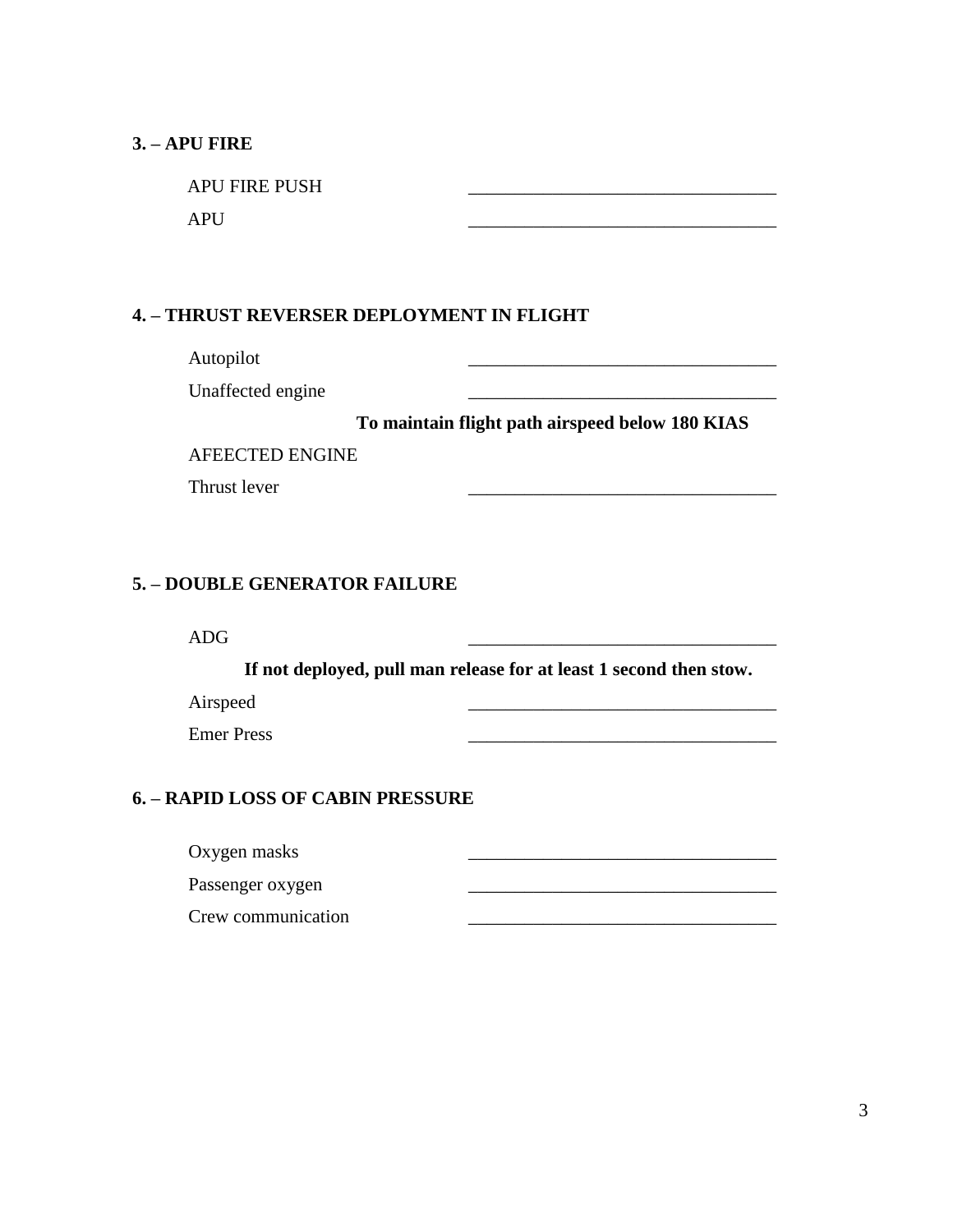### **3. – APU FIRE**

APU FIRE PUSH  $APU$   $\qquad \qquad \qquad$ 

### **4. – THRUST REVERSER DEPLOYMENT IN FLIGHT**

Autopilot and the contract of the contract of the contract of the contract of the contract of the contract of the contract of the contract of the contract of the contract of the contract of the contract of the contract of

Unaffected engine

**To maintain flight path airspeed below 180 KIAS**

AFEECTED ENGINE

Thrust lever

## **5. – DOUBLE GENERATOR FAILURE**

 $\Delta \text{DG}$  and  $\Delta \text{DG}$  and  $\Delta \text{DG}$  are  $\Delta \text{D}\text{G}$  and  $\Delta \text{D}\text{G}$  and  $\Delta \text{D}\text{G}$  and  $\Delta \text{D}\text{G}$  and  $\Delta \text{D}\text{G}$  and  $\Delta \text{D}\text{G}$  and  $\Delta \text{D}\text{G}$  and  $\Delta \text{D}\text{G}$  and  $\Delta \text{D}\text{G}$  and  $\Delta \text{D}\text{G}$  and

**If not deployed, pull man release for at least 1 second then stow.**

Airspeed \_\_\_\_\_\_\_\_\_\_\_\_\_\_\_\_\_\_\_\_\_\_\_\_\_\_\_\_\_\_\_\_\_

Emer Press \_\_\_\_\_\_\_\_\_\_\_\_\_\_\_\_\_\_\_\_\_\_\_\_\_\_\_\_\_\_\_\_\_

## **6. – RAPID LOSS OF CABIN PRESSURE**

Oxygen masks \_\_\_\_\_\_\_\_\_\_\_\_\_\_\_\_\_\_\_\_\_\_\_\_\_\_\_\_\_\_\_\_\_

Passenger oxygen \_\_\_\_\_\_\_\_\_\_\_\_\_\_\_\_\_\_\_\_\_\_\_\_\_\_\_\_\_\_\_\_\_

Crew communication